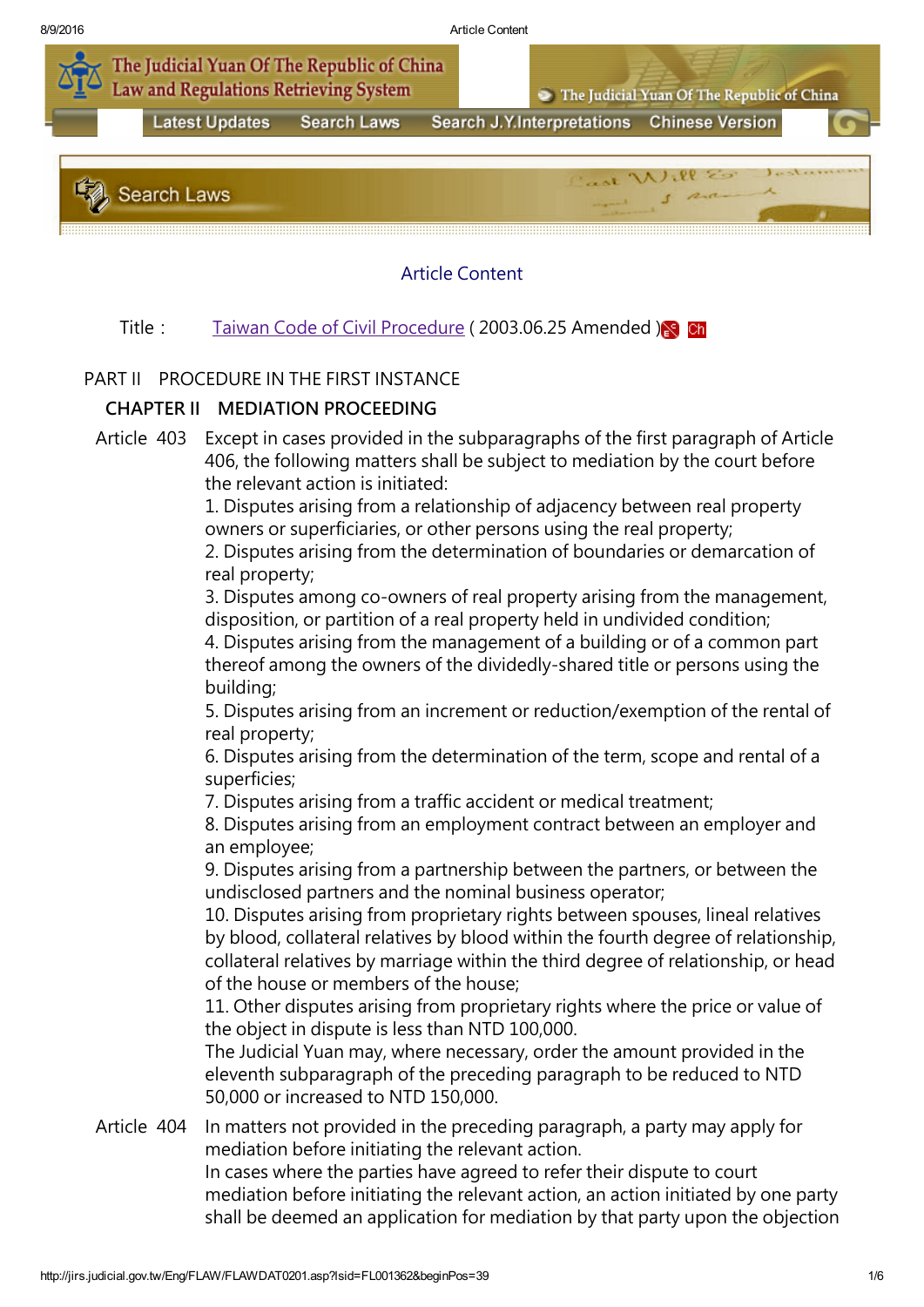

## Article Content

## Title: Taiwan Code of Civil [Procedure](http://jirs.judicial.gov.tw/Eng/FLAW/FLAWDAT01.asp?lsid=FL001362) (2003.06.25 Amended )

## PART II PROCEDURE IN THE FIRST INSTANCE

## CHAPTER II MEDIATION PROCEEDING

Article 403 Except in cases provided in the subparagraphs of the first paragraph of Article 406, the following matters shall be subject to mediation by the court before the relevant action is initiated:

> 1. Disputes arising from a relationship of adjacency between real property owners or superficiaries, or other persons using the real property;

2. Disputes arising from the determination of boundaries or demarcation of real property;

3. Disputes among co-owners of real property arising from the management, disposition, or partition of a real property held in undivided condition;

4. Disputes arising from the management of a building or of a common part thereof among the owners of the dividedly-shared title or persons using the building;

5. Disputes arising from an increment or reduction/exemption of the rental of real property;

6. Disputes arising from the determination of the term, scope and rental of a superficies;

7. Disputes arising from a traffic accident or medical treatment;

8. Disputes arising from an employment contract between an employer and an employee;

9. Disputes arising from a partnership between the partners, or between the undisclosed partners and the nominal business operator;

10. Disputes arising from proprietary rights between spouses, lineal relatives by blood, collateral relatives by blood within the fourth degree of relationship, collateral relatives by marriage within the third degree of relationship, or head of the house or members of the house;

11. Other disputes arising from proprietary rights where the price or value of the object in dispute is less than NTD 100,000.

The Judicial Yuan may, where necessary, order the amount provided in the eleventh subparagraph of the preceding paragraph to be reduced to NTD 50,000 or increased to NTD 150,000.

Article 404 In matters not provided in the preceding paragraph, a party may apply for mediation before initiating the relevant action. In cases where the parties have agreed to refer their dispute to court

mediation before initiating the relevant action, an action initiated by one party shall be deemed an application for mediation by that party upon the objection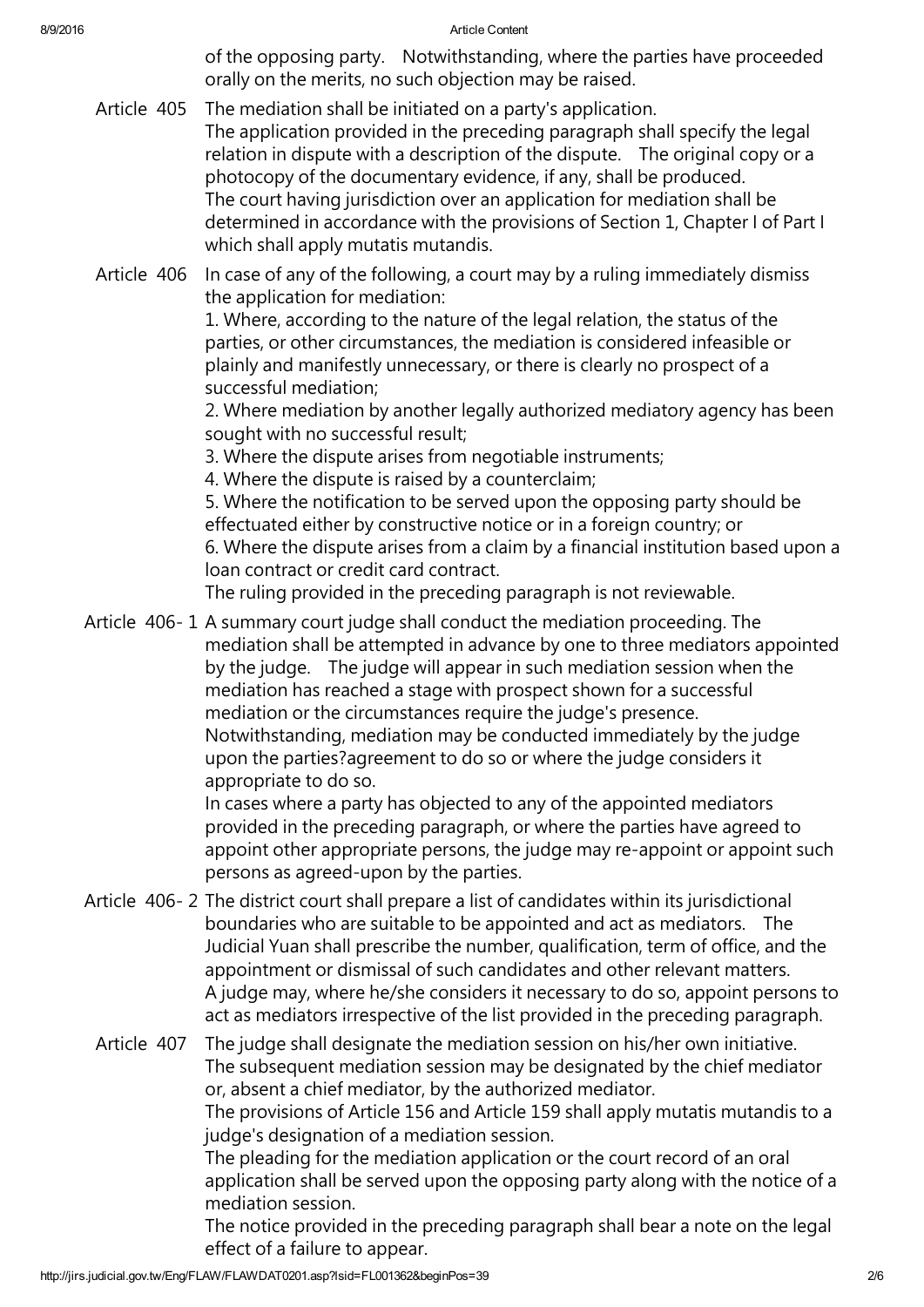8/9/2016 **Article Content** 

of the opposing party. Notwithstanding, where the parties have proceeded orally on the merits, no such objection may be raised.

Article 405 The mediation shall be initiated on a party's application. The application provided in the preceding paragraph shall specify the legal relation in dispute with a description of the dispute. The original copy or a photocopy of the documentary evidence, if any, shall be produced. The court having jurisdiction over an application for mediation shall be determined in accordance with the provisions of Section 1, Chapter I of Part I which shall apply mutatis mutandis.

Article 406 In case of any of the following, a court may by a ruling immediately dismiss the application for mediation:

1. Where, according to the nature of the legal relation, the status of the parties, or other circumstances, the mediation is considered infeasible or plainly and manifestly unnecessary, or there is clearly no prospect of a successful mediation;

2. Where mediation by another legally authorized mediatory agency has been sought with no successful result;

3. Where the dispute arises from negotiable instruments;

4. Where the dispute is raised by a counterclaim;

5. Where the notification to be served upon the opposing party should be effectuated either by constructive notice or in a foreign country; or 6. Where the dispute arises from a claim by a financial institution based upon a loan contract or credit card contract.

The ruling provided in the preceding paragraph is not reviewable.

Article 406- 1 A summary court judge shall conduct the mediation proceeding. The mediation shall be attempted in advance by one to three mediators appointed by the judge. The judge will appear in such mediation session when the mediation has reached a stage with prospect shown for a successful mediation or the circumstances require the judge's presence. Notwithstanding, mediation may be conducted immediately by the judge upon the parties?agreement to do so or where the judge considers it appropriate to do so.

In cases where a party has objected to any of the appointed mediators provided in the preceding paragraph, or where the parties have agreed to appoint other appropriate persons, the judge may re-appoint or appoint such persons as agreed-upon by the parties.

Article 406- 2 The district court shall prepare a list of candidates within its jurisdictional boundaries who are suitable to be appointed and act as mediators. The Judicial Yuan shall prescribe the number, qualification, term of office, and the appointment or dismissal of such candidates and other relevant matters. A judge may, where he/she considers it necessary to do so, appoint persons to act as mediators irrespective of the list provided in the preceding paragraph.

Article 407 The judge shall designate the mediation session on his/her own initiative. The subsequent mediation session may be designated by the chief mediator or, absent a chief mediator, by the authorized mediator. The provisions of Article 156 and Article 159 shall apply mutatis mutandis to a judge's designation of a mediation session. The pleading for the mediation application or the court record of an oral application shall be served upon the opposing party along with the notice of a mediation session. The notice provided in the preceding paragraph shall bear a note on the legal effect of a failure to appear.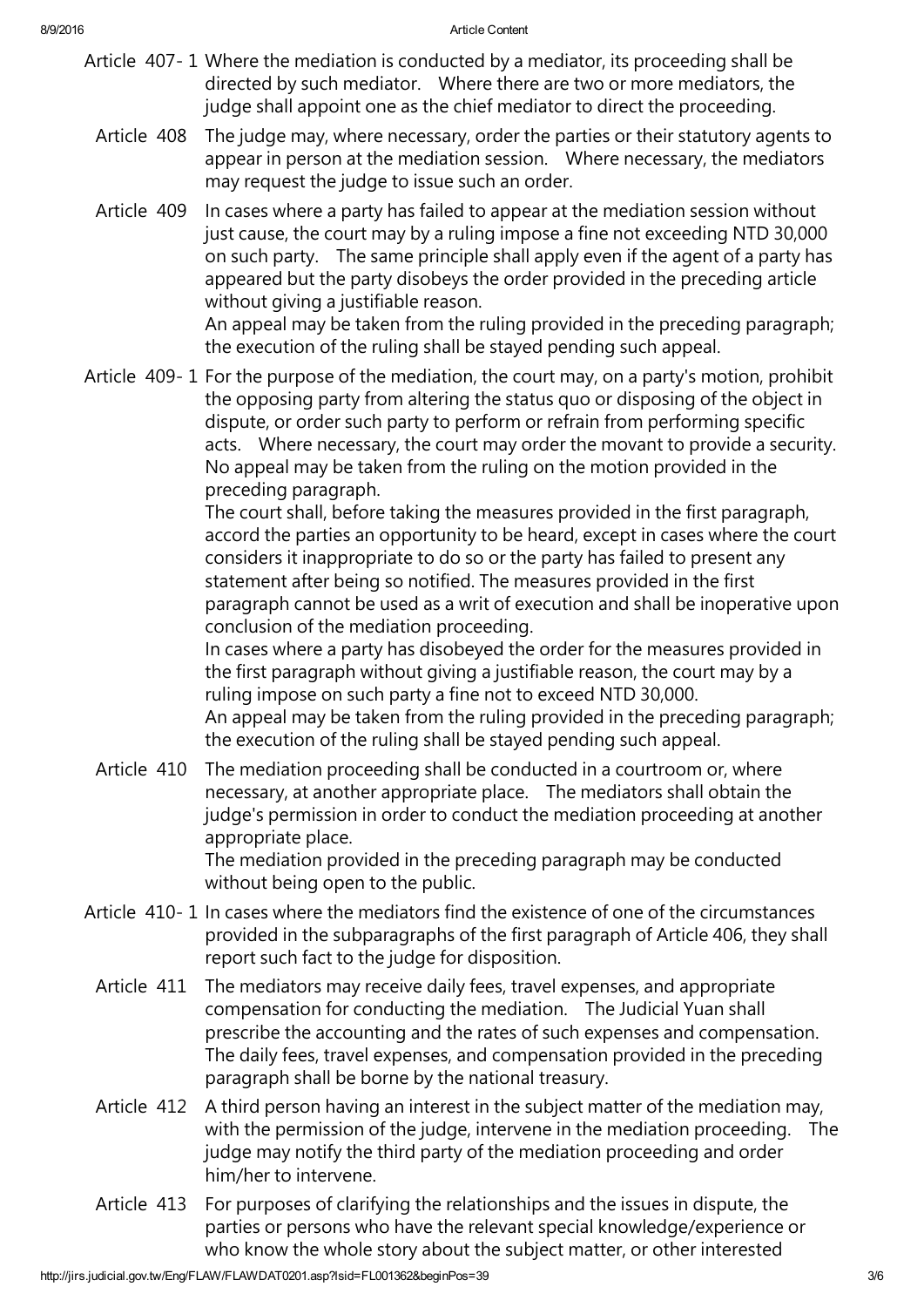- Article 407- 1 Where the mediation is conducted by a mediator, its proceeding shall be directed by such mediator. Where there are two or more mediators, the judge shall appoint one as the chief mediator to direct the proceeding.
	- Article 408 The judge may, where necessary, order the parties or their statutory agents to appear in person at the mediation session. Where necessary, the mediators may request the judge to issue such an order.
	- Article 409 In cases where a party has failed to appear at the mediation session without just cause, the court may by a ruling impose a fine not exceeding NTD 30,000 on such party. The same principle shall apply even if the agent of a party has appeared but the party disobeys the order provided in the preceding article without giving a justifiable reason. An appeal may be taken from the ruling provided in the preceding paragraph;

the execution of the ruling shall be stayed pending such appeal.

Article 409- 1 For the purpose of the mediation, the court may, on a party's motion, prohibit the opposing party from altering the status quo or disposing of the object in dispute, or order such party to perform or refrain from performing specific acts. Where necessary, the court may order the movant to provide a security. No appeal may be taken from the ruling on the motion provided in the preceding paragraph.

The court shall, before taking the measures provided in the first paragraph, accord the parties an opportunity to be heard, except in cases where the court considers it inappropriate to do so or the party has failed to present any statement after being so notified. The measures provided in the first paragraph cannot be used as a writ of execution and shall be inoperative upon conclusion of the mediation proceeding.

In cases where a party has disobeyed the order for the measures provided in the first paragraph without giving a justifiable reason, the court may by a ruling impose on such party a fine not to exceed NTD 30,000. An appeal may be taken from the ruling provided in the preceding paragraph;

the execution of the ruling shall be stayed pending such appeal.

Article 410 The mediation proceeding shall be conducted in a courtroom or, where necessary, at another appropriate place. The mediators shall obtain the judge's permission in order to conduct the mediation proceeding at another appropriate place.

The mediation provided in the preceding paragraph may be conducted without being open to the public.

- Article 410- 1 In cases where the mediators find the existence of one of the circumstances provided in the subparagraphs of the first paragraph of Article 406, they shall report such fact to the judge for disposition.
	- Article 411 The mediators may receive daily fees, travel expenses, and appropriate compensation for conducting the mediation. The Judicial Yuan shall prescribe the accounting and the rates of such expenses and compensation. The daily fees, travel expenses, and compensation provided in the preceding paragraph shall be borne by the national treasury.
	- Article 412 A third person having an interest in the subject matter of the mediation may, with the permission of the judge, intervene in the mediation proceeding. The judge may notify the third party of the mediation proceeding and order him/her to intervene.
	- Article 413 For purposes of clarifying the relationships and the issues in dispute, the parties or persons who have the relevant special knowledge/experience or who know the whole story about the subject matter, or other interested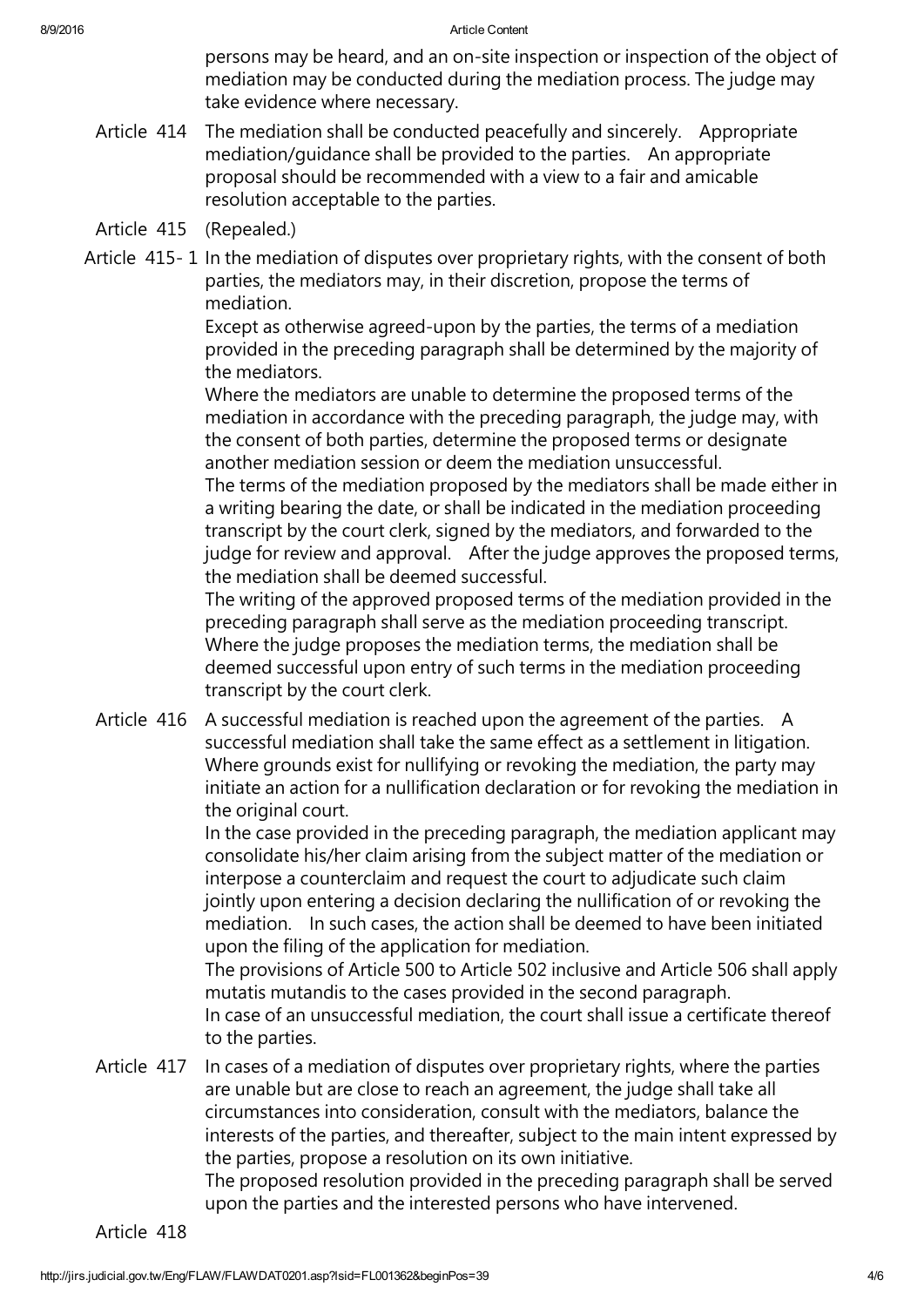8/9/2016 and 8/9/2016 and 8/9/2016 and 8/9/2016 and 8/9/2016 and 8/9/2016 and 8/9/2016 and 8/9/2016 and 8/9/2016 and 8/9/2016 and 8/9/2016 and 8/9/2016 and 8/9/2016 and 8/9/2016 and 8/9/2016 and 8/9/2016 and 8/9/2016 and 8

persons may be heard, and an on-site inspection or inspection of the object of mediation may be conducted during the mediation process. The judge may take evidence where necessary.

- Article 414 The mediation shall be conducted peacefully and sincerely. Appropriate mediation/guidance shall be provided to the parties. An appropriate proposal should be recommended with a view to a fair and amicable resolution acceptable to the parties.
- Article 415 (Repealed.)
- Article 415- 1 In the mediation of disputes over proprietary rights, with the consent of both parties, the mediators may, in their discretion, propose the terms of mediation.

Except as otherwise agreed-upon by the parties, the terms of a mediation provided in the preceding paragraph shall be determined by the majority of the mediators.

Where the mediators are unable to determine the proposed terms of the mediation in accordance with the preceding paragraph, the judge may, with the consent of both parties, determine the proposed terms or designate another mediation session or deem the mediation unsuccessful.

The terms of the mediation proposed by the mediators shall be made either in a writing bearing the date, or shall be indicated in the mediation proceeding transcript by the court clerk, signed by the mediators, and forwarded to the judge for review and approval. After the judge approves the proposed terms, the mediation shall be deemed successful.

The writing of the approved proposed terms of the mediation provided in the preceding paragraph shall serve as the mediation proceeding transcript. Where the judge proposes the mediation terms, the mediation shall be deemed successful upon entry of such terms in the mediation proceeding transcript by the court clerk.

Article 416 A successful mediation is reached upon the agreement of the parties. A successful mediation shall take the same effect as a settlement in litigation. Where grounds exist for nullifying or revoking the mediation, the party may initiate an action for a nullification declaration or for revoking the mediation in the original court.

In the case provided in the preceding paragraph, the mediation applicant may consolidate his/her claim arising from the subject matter of the mediation or interpose a counterclaim and request the court to adjudicate such claim jointly upon entering a decision declaring the nullification of or revoking the mediation. In such cases, the action shall be deemed to have been initiated upon the filing of the application for mediation.

The provisions of Article 500 to Article 502 inclusive and Article 506 shall apply mutatis mutandis to the cases provided in the second paragraph. In case of an unsuccessful mediation, the court shall issue a certificate thereof to the parties.

Article 417 In cases of a mediation of disputes over proprietary rights, where the parties are unable but are close to reach an agreement, the judge shall take all circumstances into consideration, consult with the mediators, balance the interests of the parties, and thereafter, subject to the main intent expressed by the parties, propose a resolution on its own initiative.

The proposed resolution provided in the preceding paragraph shall be served upon the parties and the interested persons who have intervened.

Article 418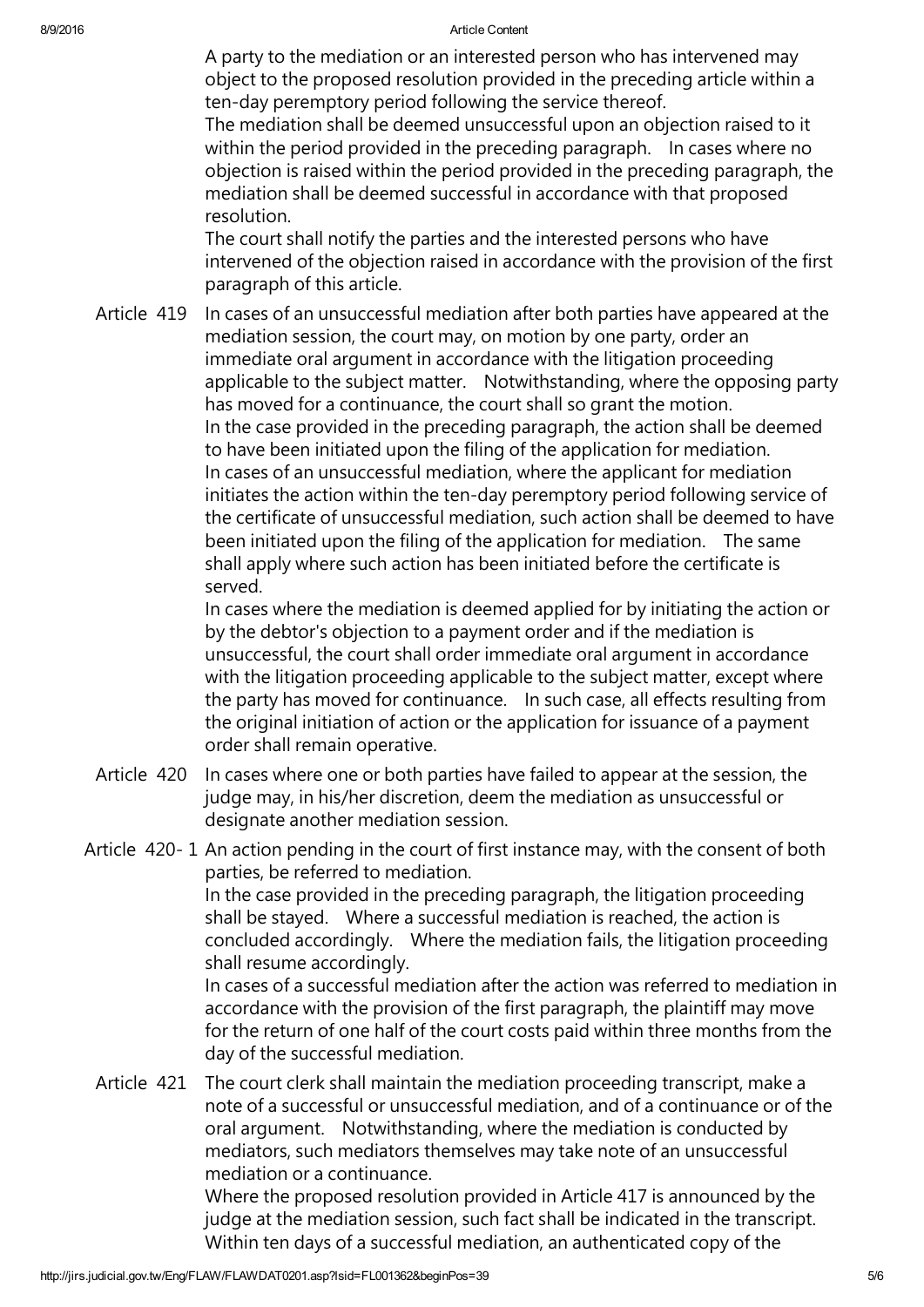A party to the mediation or an interested person who has intervened may object to the proposed resolution provided in the preceding article within a ten-day peremptory period following the service thereof.

The mediation shall be deemed unsuccessful upon an objection raised to it within the period provided in the preceding paragraph. In cases where no objection is raised within the period provided in the preceding paragraph, the mediation shall be deemed successful in accordance with that proposed resolution.

The court shall notify the parties and the interested persons who have intervened of the objection raised in accordance with the provision of the first paragraph of this article.

Article 419 In cases of an unsuccessful mediation after both parties have appeared at the mediation session, the court may, on motion by one party, order an immediate oral argument in accordance with the litigation proceeding applicable to the subject matter. Notwithstanding, where the opposing party has moved for a continuance, the court shall so grant the motion. In the case provided in the preceding paragraph, the action shall be deemed to have been initiated upon the filing of the application for mediation. In cases of an unsuccessful mediation, where the applicant for mediation initiates the action within the ten-day peremptory period following service of the certificate of unsuccessful mediation, such action shall be deemed to have been initiated upon the filing of the application for mediation. The same shall apply where such action has been initiated before the certificate is served.

In cases where the mediation is deemed applied for by initiating the action or by the debtor's objection to a payment order and if the mediation is unsuccessful, the court shall order immediate oral argument in accordance with the litigation proceeding applicable to the subject matter, except where the party has moved for continuance. In such case, all effects resulting from the original initiation of action or the application for issuance of a payment order shall remain operative.

- Article 420 In cases where one or both parties have failed to appear at the session, the judge may, in his/her discretion, deem the mediation as unsuccessful or designate another mediation session.
- Article 420- 1 An action pending in the court of first instance may, with the consent of both parties, be referred to mediation. In the case provided in the preceding paragraph, the litigation proceeding shall be stayed. Where a successful mediation is reached, the action is concluded accordingly. Where the mediation fails, the litigation proceeding shall resume accordingly. In cases of a successful mediation after the action was referred to mediation in accordance with the provision of the first paragraph, the plaintiff may move for the return of one half of the court costs paid within three months from the day of the successful mediation.
	- Article 421 The court clerk shall maintain the mediation proceeding transcript, make a note of a successful or unsuccessful mediation, and of a continuance or of the oral argument. Notwithstanding, where the mediation is conducted by mediators, such mediators themselves may take note of an unsuccessful mediation or a continuance.

Where the proposed resolution provided in Article 417 is announced by the judge at the mediation session, such fact shall be indicated in the transcript. Within ten days of a successful mediation, an authenticated copy of the